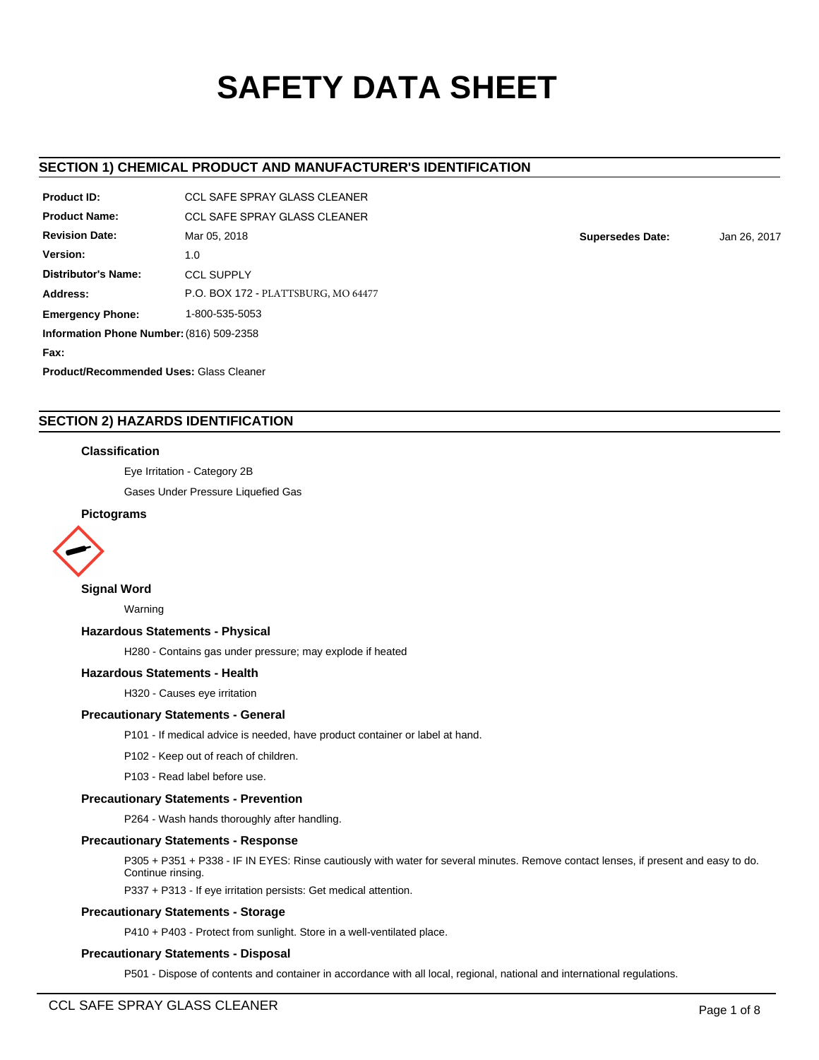# **SAFETY DATA SHEET**

# **SECTION 1) CHEMICAL PRODUCT AND MANUFACTURER'S IDENTIFICATION**

| Product ID:                                    | CCL SAFF SPRAY GLASS CLEANER        |  |  |  |  |
|------------------------------------------------|-------------------------------------|--|--|--|--|
| <b>Product Name:</b>                           | CCL SAFF SPRAY GLASS CLEANER        |  |  |  |  |
| <b>Revision Date:</b>                          | Mar 05, 2018                        |  |  |  |  |
| Version:                                       | 1.0                                 |  |  |  |  |
| Distributor's Name:                            | <b>CCL SUPPLY</b>                   |  |  |  |  |
| Address:                                       | P.O. BOX 172 - PLATTSBURG, MO 64477 |  |  |  |  |
| 1-800-535-5053<br><b>Emergency Phone:</b>      |                                     |  |  |  |  |
| Information Phone Number: (816) 509-2358       |                                     |  |  |  |  |
| Fax:                                           |                                     |  |  |  |  |
| <b>Product/Recommended Uses: Glass Cleaner</b> |                                     |  |  |  |  |

# **SECTION 2) HAZARDS IDENTIFICATION**

### **Classification**

Eye Irritation - Category 2B

Gases Under Pressure Liquefied Gas

### **Pictograms**



### **Signal Word**

Warning

### **Hazardous Statements - Physical**

H280 - Contains gas under pressure; may explode if heated

### **Hazardous Statements - Health**

H320 - Causes eye irritation

### **Precautionary Statements - General**

P101 - If medical advice is needed, have product container or label at hand.

P102 - Keep out of reach of children.

P103 - Read label before use.

### **Precautionary Statements - Prevention**

P264 - Wash hands thoroughly after handling.

### **Precautionary Statements - Response**

P305 + P351 + P338 - IF IN EYES: Rinse cautiously with water for several minutes. Remove contact lenses, if present and easy to do. Continue rinsing.

P337 + P313 - If eye irritation persists: Get medical attention.

### **Precautionary Statements - Storage**

P410 + P403 - Protect from sunlight. Store in a well-ventilated place.

### **Precautionary Statements - Disposal**

P501 - Dispose of contents and container in accordance with all local, regional, national and international regulations.

**Supersedes Date:** Jan 26, 2017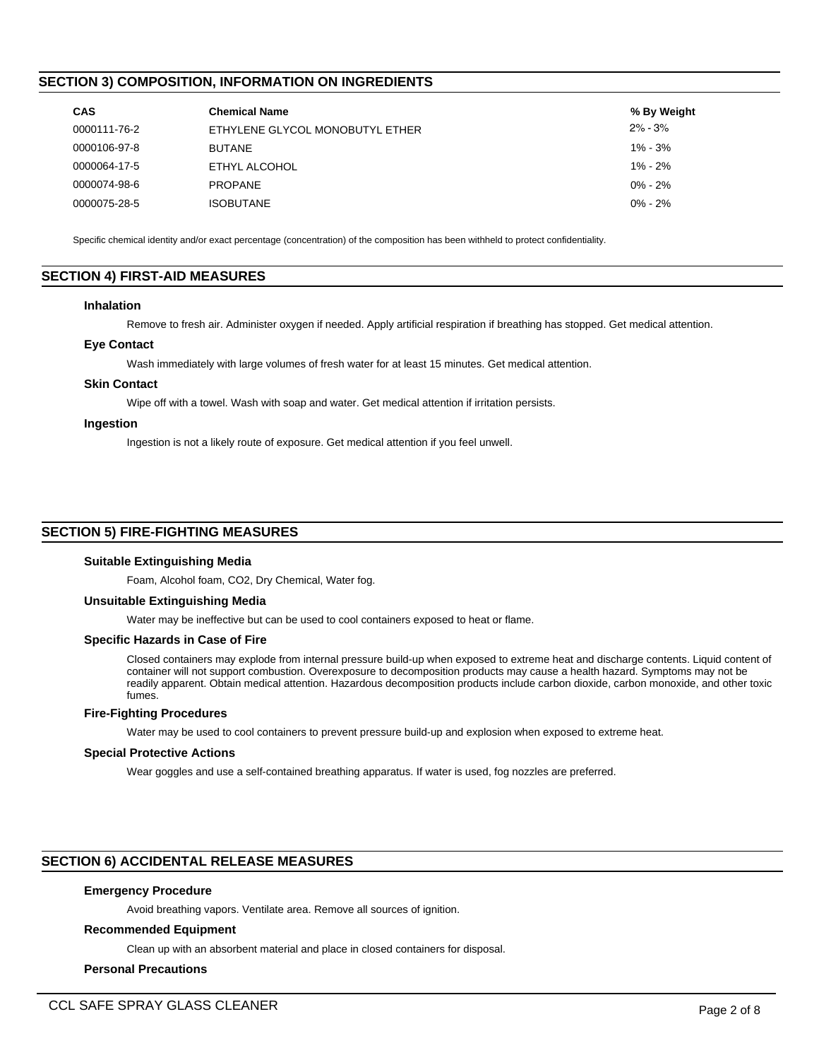# **SECTION 3) COMPOSITION, INFORMATION ON INGREDIENTS**

| <b>CAS</b>   | <b>Chemical Name</b>            | % By Weight |
|--------------|---------------------------------|-------------|
| 0000111-76-2 | ETHYLENE GLYCOL MONOBUTYL ETHER | $2\% - 3\%$ |
| 0000106-97-8 | <b>BUTANE</b>                   | $1\% - 3\%$ |
| 0000064-17-5 | ETHYL ALCOHOL                   | $1\% - 2\%$ |
| 0000074-98-6 | <b>PROPANE</b>                  | $0\% - 2\%$ |
| 0000075-28-5 | <b>ISOBUTANE</b>                | $0\% - 2\%$ |

Specific chemical identity and/or exact percentage (concentration) of the composition has been withheld to protect confidentiality.

# **SECTION 4) FIRST-AID MEASURES**

### **Inhalation**

Remove to fresh air. Administer oxygen if needed. Apply artificial respiration if breathing has stopped. Get medical attention.

### **Eye Contact**

Wash immediately with large volumes of fresh water for at least 15 minutes. Get medical attention.

### **Skin Contact**

Wipe off with a towel. Wash with soap and water. Get medical attention if irritation persists.

### **Ingestion**

Ingestion is not a likely route of exposure. Get medical attention if you feel unwell.

# **SECTION 5) FIRE-FIGHTING MEASURES**

#### **Suitable Extinguishing Media**

Foam, Alcohol foam, CO2, Dry Chemical, Water fog.

### **Unsuitable Extinguishing Media**

Water may be ineffective but can be used to cool containers exposed to heat or flame.

#### **Specific Hazards in Case of Fire**

Closed containers may explode from internal pressure build-up when exposed to extreme heat and discharge contents. Liquid content of container will not support combustion. Overexposure to decomposition products may cause a health hazard. Symptoms may not be readily apparent. Obtain medical attention. Hazardous decomposition products include carbon dioxide, carbon monoxide, and other toxic fumes.

# **Fire-Fighting Procedures**

Water may be used to cool containers to prevent pressure build-up and explosion when exposed to extreme heat.

#### **Special Protective Actions**

Wear goggles and use a self-contained breathing apparatus. If water is used, fog nozzles are preferred.

# **SECTION 6) ACCIDENTAL RELEASE MEASURES**

### **Emergency Procedure**

Avoid breathing vapors. Ventilate area. Remove all sources of ignition.

#### **Recommended Equipment**

Clean up with an absorbent material and place in closed containers for disposal.

### **Personal Precautions**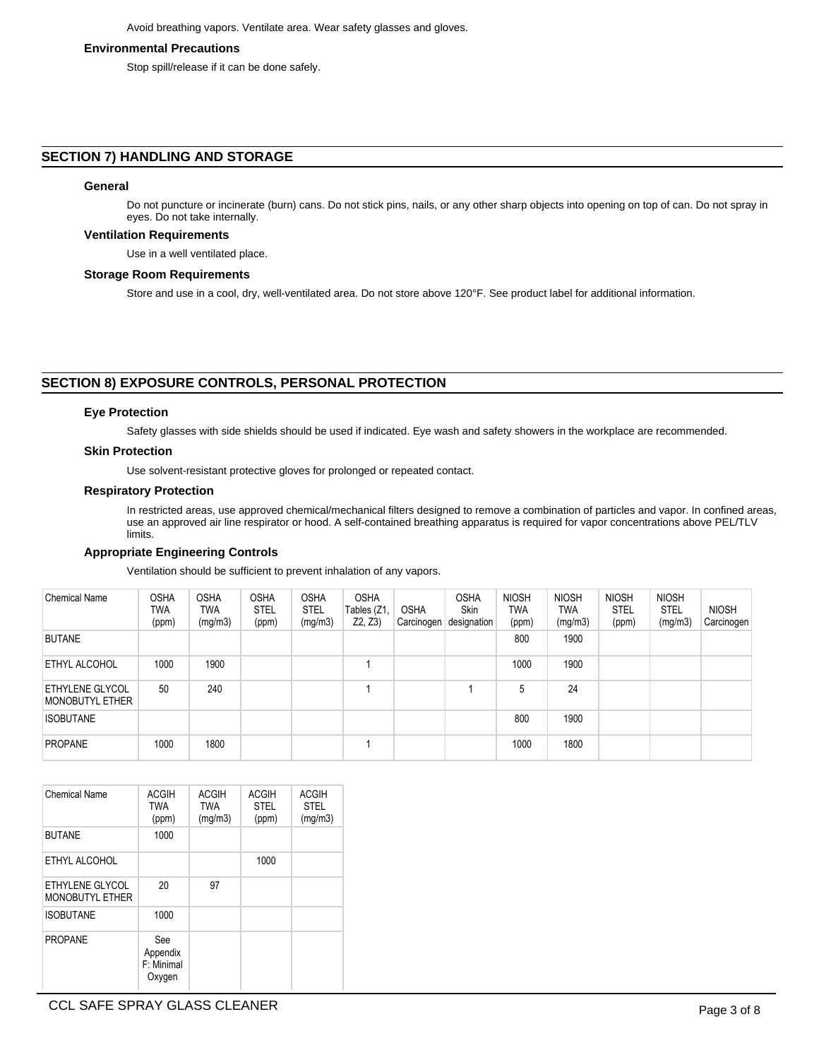### **Environmental Precautions**

Stop spill/release if it can be done safely.

# **SECTION 7) HANDLING AND STORAGE**

### **General**

Do not puncture or incinerate (burn) cans. Do not stick pins, nails, or any other sharp objects into opening on top of can. Do not spray in eyes. Do not take internally.

### **Ventilation Requirements**

Use in a well ventilated place.

### **Storage Room Requirements**

Store and use in a cool, dry, well-ventilated area. Do not store above 120°F. See product label for additional information.

# **SECTION 8) EXPOSURE CONTROLS, PERSONAL PROTECTION**

### **Eye Protection**

Safety glasses with side shields should be used if indicated. Eye wash and safety showers in the workplace are recommended.

### **Skin Protection**

Use solvent-resistant protective gloves for prolonged or repeated contact.

### **Respiratory Protection**

In restricted areas, use approved chemical/mechanical filters designed to remove a combination of particles and vapor. In confined areas, use an approved air line respirator or hood. A self-contained breathing apparatus is required for vapor concentrations above PEL/TLV limits.

### **Appropriate Engineering Controls**

Ventilation should be sufficient to prevent inhalation of any vapors.

| Chemical Name                                    | <b>OSHA</b><br>TWA<br>(ppm) | <b>OSHA</b><br><b>TWA</b><br>(mg/m3) | <b>OSHA</b><br><b>STEL</b><br>(ppm) | <b>OSHA</b><br><b>STEL</b><br>(mg/m3) | <b>OSHA</b><br>Tables (Z1,<br>Z2, Z3 | <b>OSHA</b><br>Carcinogen | <b>OSHA</b><br><b>Skin</b><br>designation | <b>NIOSH</b><br>TWA<br>(ppm) | <b>NIOSH</b><br>TWA<br>(mg/m3) | <b>NIOSH</b><br><b>STEL</b><br>(ppm) | <b>NIOSH</b><br><b>STEL</b><br>(mg/m3) | <b>NIOSH</b><br>Carcinogen |
|--------------------------------------------------|-----------------------------|--------------------------------------|-------------------------------------|---------------------------------------|--------------------------------------|---------------------------|-------------------------------------------|------------------------------|--------------------------------|--------------------------------------|----------------------------------------|----------------------------|
| <b>BUTANE</b>                                    |                             |                                      |                                     |                                       |                                      |                           |                                           | 800                          | 1900                           |                                      |                                        |                            |
| ETHYL ALCOHOL                                    | 1000                        | 1900                                 |                                     |                                       |                                      |                           |                                           | 1000                         | 1900                           |                                      |                                        |                            |
| <b>ETHYLENE GLYCOL</b><br><b>MONOBUTYL ETHER</b> | 50                          | 240                                  |                                     |                                       |                                      |                           |                                           | 5                            | 24                             |                                      |                                        |                            |
| <b>ISOBUTANE</b>                                 |                             |                                      |                                     |                                       |                                      |                           |                                           | 800                          | 1900                           |                                      |                                        |                            |
| <b>PROPANE</b>                                   | 1000                        | 1800                                 |                                     |                                       |                                      |                           |                                           | 1000                         | 1800                           |                                      |                                        |                            |

| Chemical Name                             | <b>ACGIH</b><br><b>TWA</b><br>(ppm)     | <b>ACGIH</b><br><b>TWA</b><br>(mg/m3) | <b>ACGIH</b><br><b>STEL</b><br>(ppm) | <b>ACGIH</b><br><b>STEL</b><br>(mg/m3) |
|-------------------------------------------|-----------------------------------------|---------------------------------------|--------------------------------------|----------------------------------------|
| <b>BUTANE</b>                             | 1000                                    |                                       |                                      |                                        |
| ETHYL ALCOHOL                             |                                         |                                       | 1000                                 |                                        |
| ETHYLENE GLYCOL<br><b>MONOBUTYL ETHER</b> | 20                                      | 97                                    |                                      |                                        |
| <b>ISOBUTANE</b>                          | 1000                                    |                                       |                                      |                                        |
| <b>PROPANE</b>                            | See<br>Appendix<br>F: Minimal<br>Oxygen |                                       |                                      |                                        |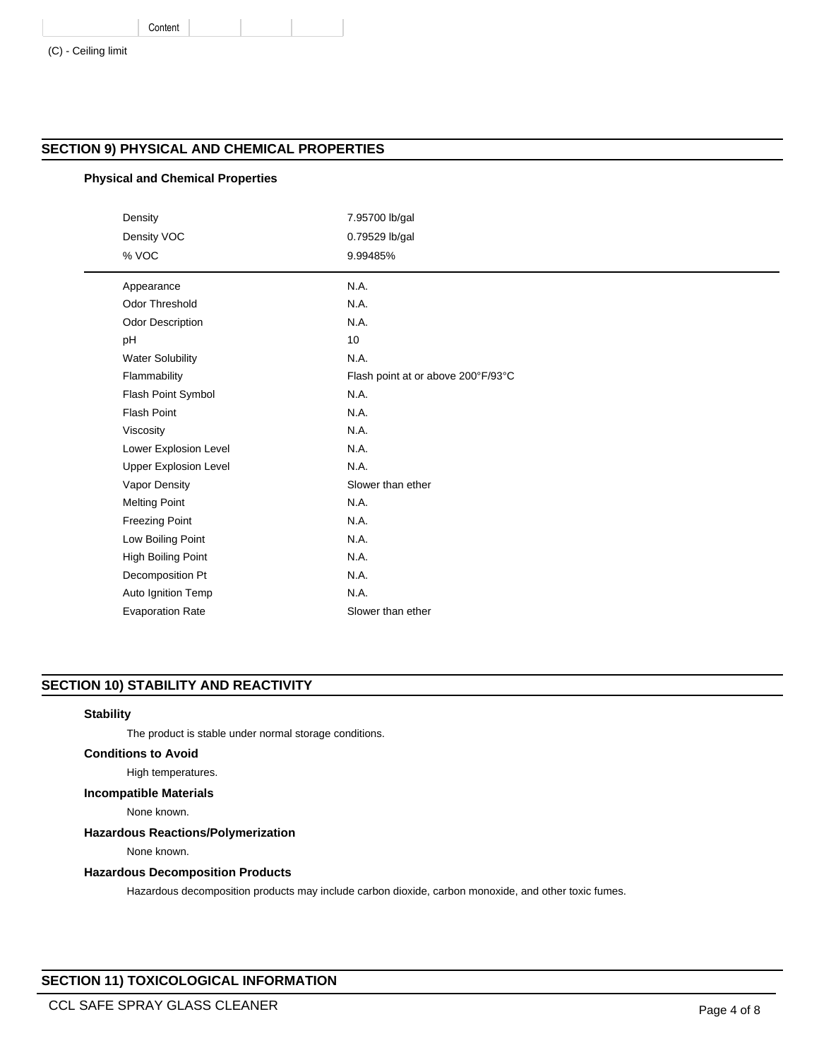|  | (C) - Ceiling limit |  |
|--|---------------------|--|
|  |                     |  |

# **SECTION 9) PHYSICAL AND CHEMICAL PROPERTIES**

# **Physical and Chemical Properties**

Content

| Density                      | 7.95700 lb/gal                     |
|------------------------------|------------------------------------|
| Density VOC                  | 0.79529 lb/gal                     |
| % VOC                        | 9.99485%                           |
| Appearance                   | N.A.                               |
| <b>Odor Threshold</b>        | N.A.                               |
| Odor Description             | N.A.                               |
| pH                           | 10                                 |
| <b>Water Solubility</b>      | N.A.                               |
| Flammability                 | Flash point at or above 200°F/93°C |
| Flash Point Symbol           | N.A.                               |
| <b>Flash Point</b>           | N.A.                               |
| Viscosity                    | N.A.                               |
| Lower Explosion Level        | N.A.                               |
| <b>Upper Explosion Level</b> | N.A.                               |
| Vapor Density                | Slower than ether                  |
| <b>Melting Point</b>         | N.A.                               |
| <b>Freezing Point</b>        | N.A.                               |
| Low Boiling Point            | N.A.                               |
| High Boiling Point           | N.A.                               |
| Decomposition Pt             | N.A.                               |
| Auto Ignition Temp           | N.A.                               |
| <b>Evaporation Rate</b>      | Slower than ether                  |
|                              |                                    |

# **SECTION 10) STABILITY AND REACTIVITY**

### **Stability**

The product is stable under normal storage conditions.

### **Conditions to Avoid**

High temperatures.

# **Incompatible Materials**

None known.

# **Hazardous Reactions/Polymerization**

None known.

### **Hazardous Decomposition Products**

Hazardous decomposition products may include carbon dioxide, carbon monoxide, and other toxic fumes.

# **SECTION 11) TOXICOLOGICAL INFORMATION**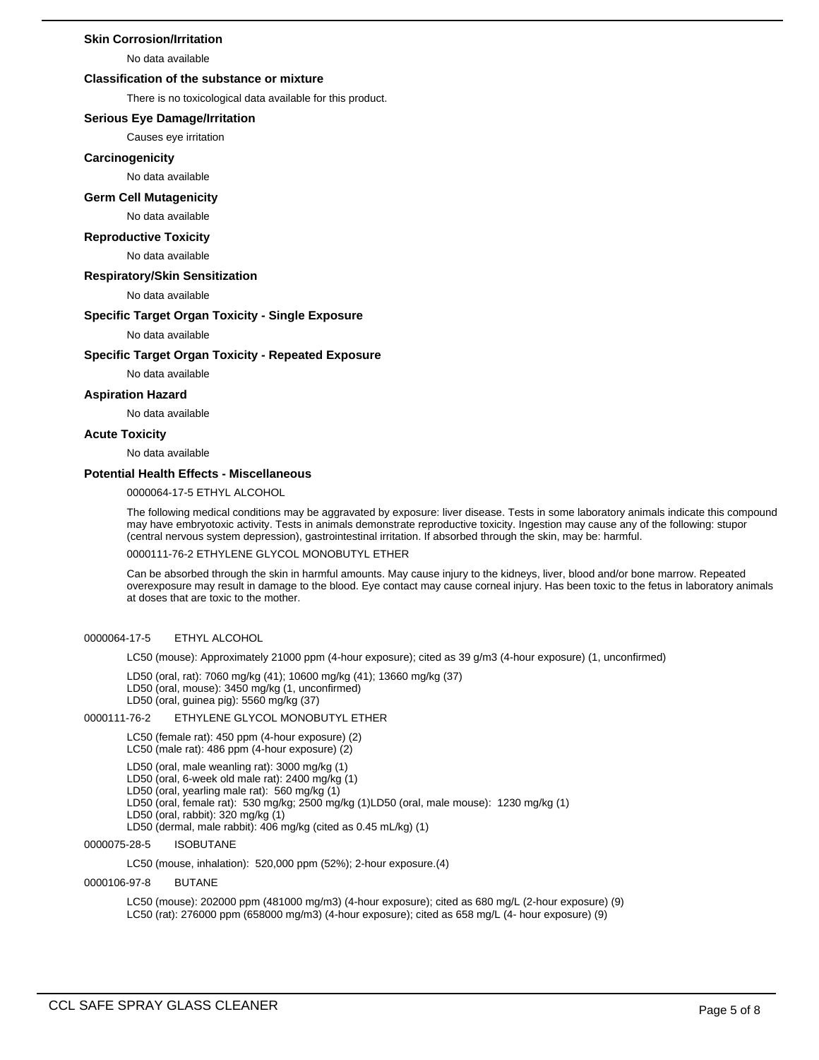### **Skin Corrosion/Irritation**

No data available

### **Classification of the substance or mixture**

There is no toxicological data available for this product.

#### **Serious Eye Damage/Irritation**

Causes eye irritation

#### **Carcinogenicity**

No data available

# **Germ Cell Mutagenicity**

#### No data available

#### **Reproductive Toxicity**

No data available

#### **Respiratory/Skin Sensitization**

No data available

#### **Specific Target Organ Toxicity - Single Exposure**

No data available

#### **Specific Target Organ Toxicity - Repeated Exposure**

No data available

# **Aspiration Hazard**

No data available

#### **Acute Toxicity**

No data available

### **Potential Health Effects - Miscellaneous**

0000064-17-5 ETHYL ALCOHOL

The following medical conditions may be aggravated by exposure: liver disease. Tests in some laboratory animals indicate this compound may have embryotoxic activity. Tests in animals demonstrate reproductive toxicity. Ingestion may cause any of the following: stupor (central nervous system depression), gastrointestinal irritation. If absorbed through the skin, may be: harmful.

0000111-76-2 ETHYLENE GLYCOL MONOBUTYL ETHER

Can be absorbed through the skin in harmful amounts. May cause injury to the kidneys, liver, blood and/or bone marrow. Repeated overexposure may result in damage to the blood. Eye contact may cause corneal injury. Has been toxic to the fetus in laboratory animals at doses that are toxic to the mother.

#### 0000064-17-5 ETHYL ALCOHOL

LC50 (mouse): Approximately 21000 ppm (4-hour exposure); cited as 39 g/m3 (4-hour exposure) (1, unconfirmed)

- LD50 (oral, rat): 7060 mg/kg (41); 10600 mg/kg (41); 13660 mg/kg (37)
- LD50 (oral, mouse): 3450 mg/kg (1, unconfirmed)
- LD50 (oral, guinea pig): 5560 mg/kg (37)

### 0000111-76-2 ETHYLENE GLYCOL MONOBUTYL ETHER

LC50 (female rat): 450 ppm (4-hour exposure) (2)

- LC50 (male rat): 486 ppm (4-hour exposure) (2)
- LD50 (oral, male weanling rat): 3000 mg/kg (1)
- LD50 (oral, 6-week old male rat): 2400 mg/kg (1)
- LD50 (oral, yearling male rat): 560 mg/kg (1)
- LD50 (oral, female rat): 530 mg/kg; 2500 mg/kg (1)LD50 (oral, male mouse): 1230 mg/kg (1)
- LD50 (oral, rabbit): 320 mg/kg (1)
- LD50 (dermal, male rabbit): 406 mg/kg (cited as 0.45 mL/kg) (1)

### 0000075-28-5 ISOBUTANE

LC50 (mouse, inhalation): 520,000 ppm (52%); 2-hour exposure.(4)

### 0000106-97-8 BUTANE

LC50 (mouse): 202000 ppm (481000 mg/m3) (4-hour exposure); cited as 680 mg/L (2-hour exposure) (9) LC50 (rat): 276000 ppm (658000 mg/m3) (4-hour exposure); cited as 658 mg/L (4- hour exposure) (9)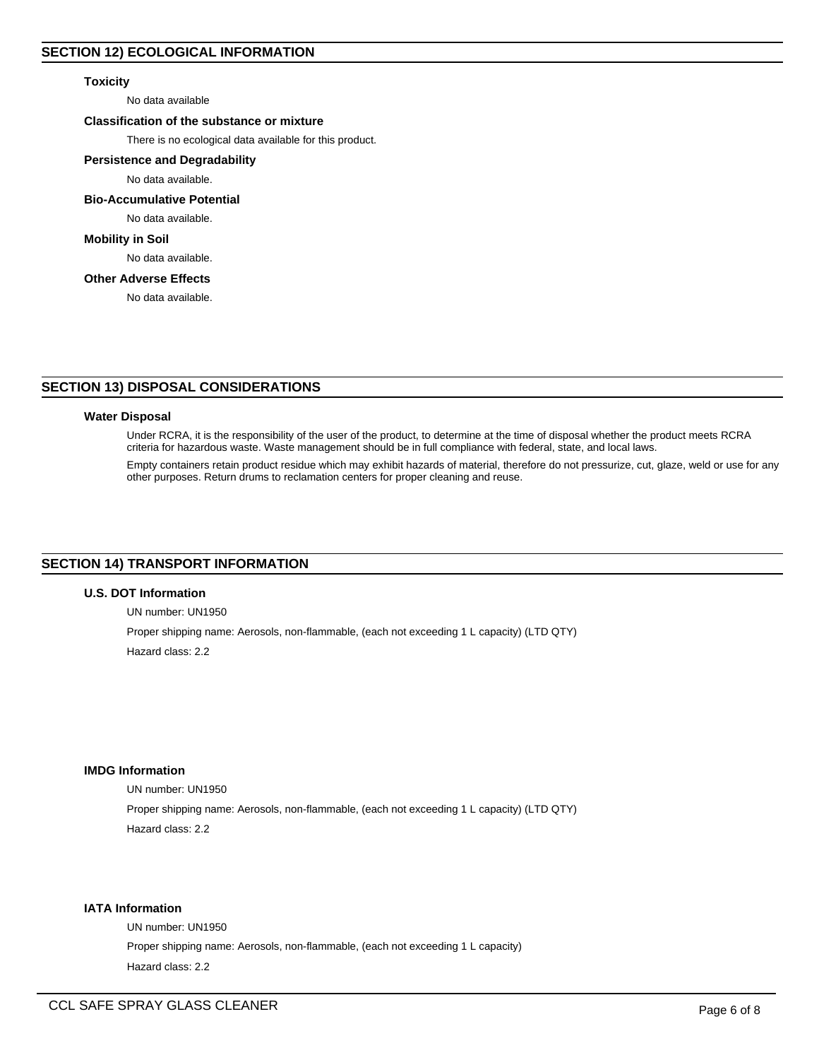### **Toxicity**

No data available

### **Classification of the substance or mixture**

There is no ecological data available for this product.

### **Persistence and Degradability**

No data available.

### **Bio-Accumulative Potential**

No data available.

### **Mobility in Soil**

No data available.

# **Other Adverse Effects**

No data available.

# **SECTION 13) DISPOSAL CONSIDERATIONS**

### **Water Disposal**

Under RCRA, it is the responsibility of the user of the product, to determine at the time of disposal whether the product meets RCRA criteria for hazardous waste. Waste management should be in full compliance with federal, state, and local laws.

Empty containers retain product residue which may exhibit hazards of material, therefore do not pressurize, cut, glaze, weld or use for any other purposes. Return drums to reclamation centers for proper cleaning and reuse.

# **SECTION 14) TRANSPORT INFORMATION**

### **U.S. DOT Information**

UN number: UN1950

Proper shipping name: Aerosols, non-flammable, (each not exceeding 1 L capacity) (LTD QTY) Hazard class: 2.2

### **IMDG Information**

UN number: UN1950

Proper shipping name: Aerosols, non-flammable, (each not exceeding 1 L capacity) (LTD QTY) Hazard class: 2.2

### **IATA Information**

UN number: UN1950 Proper shipping name: Aerosols, non-flammable, (each not exceeding 1 L capacity) Hazard class: 2.2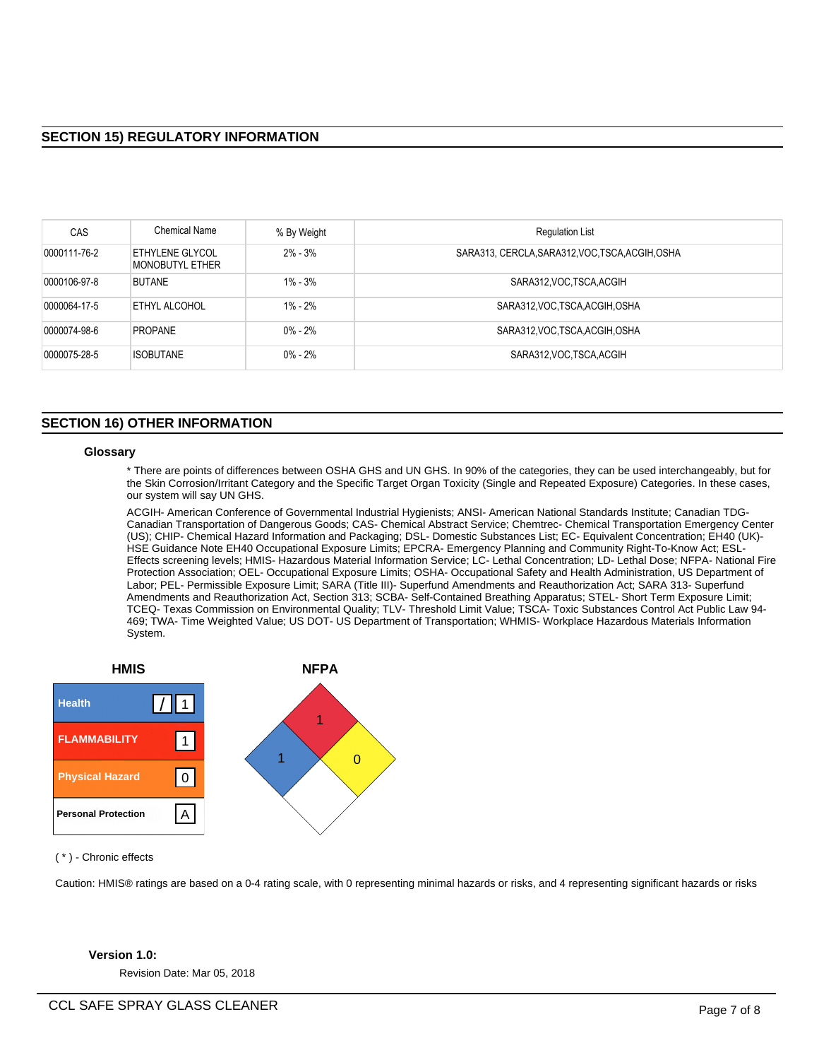| <b>CAS</b>   | Chemical Name                                    | % By Weight | <b>Regulation List</b>                           |
|--------------|--------------------------------------------------|-------------|--------------------------------------------------|
| 0000111-76-2 | <b>ETHYLENE GLYCOL</b><br><b>MONOBUTYL ETHER</b> | $2\% - 3\%$ | SARA313, CERCLA, SARA312, VOC, TSCA, ACGIH, OSHA |
| 0000106-97-8 | <b>BUTANE</b>                                    | $1\% - 3\%$ | SARA312, VOC TSCA, ACGIH                         |
| 0000064-17-5 | ETHYL ALCOHOL                                    | $1\% - 2\%$ | SARA312, VOC, TSCA, ACGIH, OSHA                  |
| 0000074-98-6 | <b>PROPANE</b>                                   | $0\% - 2\%$ | SARA312, VOC, TSCA, ACGIH, OSHA                  |
| 0000075-28-5 | <b>ISOBUTANE</b>                                 | $0\% - 2\%$ | SARA312, VOC TSCA, ACGIH                         |

# **SECTION 16) OTHER INFORMATION**

#### **Glossary**

\* There are points of differences between OSHA GHS and UN GHS. In 90% of the categories, they can be used interchangeably, but for the Skin Corrosion/Irritant Category and the Specific Target Organ Toxicity (Single and Repeated Exposure) Categories. In these cases, our system will say UN GHS.

ACGIH- American Conference of Governmental Industrial Hygienists; ANSI- American National Standards Institute; Canadian TDG-Canadian Transportation of Dangerous Goods; CAS- Chemical Abstract Service; Chemtrec- Chemical Transportation Emergency Center (US); CHIP- Chemical Hazard Information and Packaging; DSL- Domestic Substances List; EC- Equivalent Concentration; EH40 (UK)- HSE Guidance Note EH40 Occupational Exposure Limits; EPCRA- Emergency Planning and Community Right-To-Know Act; ESL-Effects screening levels; HMIS- Hazardous Material Information Service; LC- Lethal Concentration; LD- Lethal Dose; NFPA- National Fire Protection Association; OEL- Occupational Exposure Limits; OSHA- Occupational Safety and Health Administration, US Department of Labor; PEL- Permissible Exposure Limit; SARA (Title III)- Superfund Amendments and Reauthorization Act; SARA 313- Superfund Amendments and Reauthorization Act, Section 313; SCBA- Self-Contained Breathing Apparatus; STEL- Short Term Exposure Limit; TCEQ- Texas Commission on Environmental Quality; TLV- Threshold Limit Value; TSCA- Toxic Substances Control Act Public Law 94- 469; TWA- Time Weighted Value; US DOT- US Department of Transportation; WHMIS- Workplace Hazardous Materials Information System.



( \* ) - Chronic effects

Caution: HMIS® ratings are based on a 0-4 rating scale, with 0 representing minimal hazards or risks, and 4 representing significant hazards or risks

# **Version 1.0:**

Revision Date: Mar 05, 2018